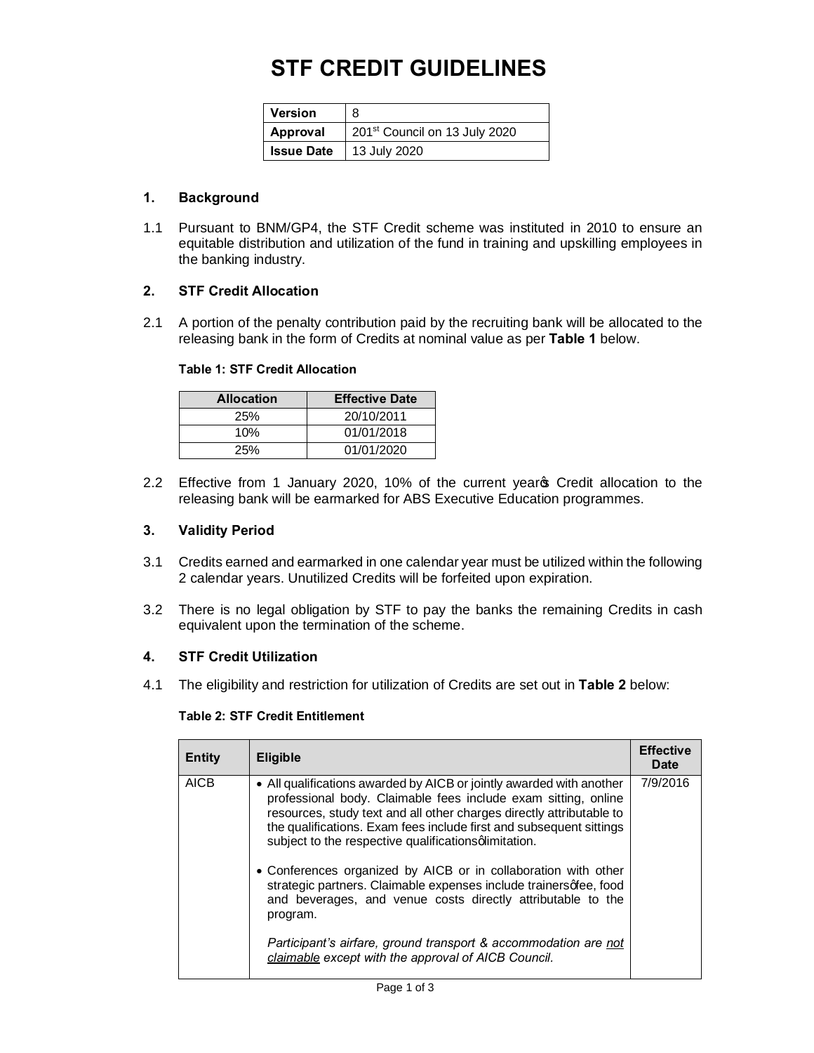## **STF CREDIT GUIDELINES**

| <b>Version</b> |                                           |
|----------------|-------------------------------------------|
| Approval       | 201 <sup>st</sup> Council on 13 July 2020 |
|                | <b>Issue Date</b>   13 July 2020          |

## **1. Background**

1.1 Pursuant to BNM/GP4, the STF Credit scheme was instituted in 2010 to ensure an equitable distribution and utilization of the fund in training and upskilling employees in the banking industry.

## **2. STF Credit Allocation**

2.1 A portion of the penalty contribution paid by the recruiting bank will be allocated to the releasing bank in the form of Credits at nominal value as per **Table 1** below.

#### **Table 1: STF Credit Allocation**

| <b>Allocation</b> | <b>Effective Date</b> |
|-------------------|-----------------------|
| 25%               | 20/10/2011            |
| 10%               | 01/01/2018            |
| 25%               | 01/01/2020            |

2.2 Effective from 1 January 2020, 10% of the current year Credit allocation to the releasing bank will be earmarked for ABS Executive Education programmes.

#### **3. Validity Period**

- 3.1 Credits earned and earmarked in one calendar year must be utilized within the following 2 calendar years. Unutilized Credits will be forfeited upon expiration.
- 3.2 There is no legal obligation by STF to pay the banks the remaining Credits in cash equivalent upon the termination of the scheme.

#### **4. STF Credit Utilization**

4.1 The eligibility and restriction for utilization of Credits are set out in **Table 2** below:

### **Table 2: STF Credit Entitlement**

| <b>AICB</b><br>• All qualifications awarded by AICB or jointly awarded with another<br>professional body. Claimable fees include exam sitting, online<br>resources, study text and all other charges directly attributable to                                                                                                                                                                     | <b>Entity</b> | <b>Eligible</b>                                                     | <b>Effective</b><br>Date |
|---------------------------------------------------------------------------------------------------------------------------------------------------------------------------------------------------------------------------------------------------------------------------------------------------------------------------------------------------------------------------------------------------|---------------|---------------------------------------------------------------------|--------------------------|
| subject to the respective qualifications glimitation.<br>• Conferences organized by AICB or in collaboration with other<br>strategic partners. Claimable expenses include trainersqfee, food<br>and beverages, and venue costs directly attributable to the<br>program.<br>Participant's airfare, ground transport & accommodation are not<br>claimable except with the approval of AICB Council. |               | the qualifications. Exam fees include first and subsequent sittings | 7/9/2016                 |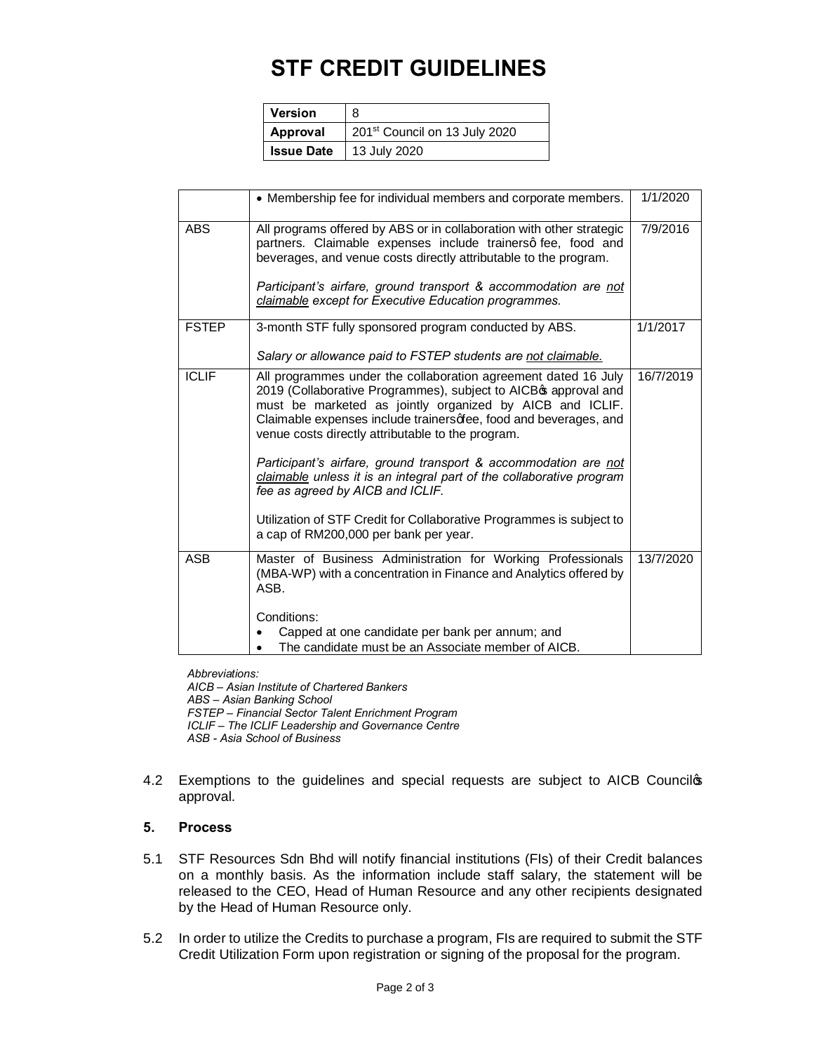# **STF CREDIT GUIDELINES**

| <b>Version</b>    | 8                                         |
|-------------------|-------------------------------------------|
| Approval          | 201 <sup>st</sup> Council on 13 July 2020 |
| <b>Issue Date</b> | 13 July 2020                              |

|              | • Membership fee for individual members and corporate members.                                                                                                                                                                                                                                                                                                                                                                                                   | 1/1/2020  |
|--------------|------------------------------------------------------------------------------------------------------------------------------------------------------------------------------------------------------------------------------------------------------------------------------------------------------------------------------------------------------------------------------------------------------------------------------------------------------------------|-----------|
| <b>ABS</b>   | All programs offered by ABS or in collaboration with other strategic<br>partners. Claimable expenses include trainersq fee, food and<br>beverages, and venue costs directly attributable to the program.<br>Participant's airfare, ground transport & accommodation are not                                                                                                                                                                                      | 7/9/2016  |
|              | claimable except for Executive Education programmes.                                                                                                                                                                                                                                                                                                                                                                                                             |           |
| <b>FSTEP</b> | 3-month STF fully sponsored program conducted by ABS.                                                                                                                                                                                                                                                                                                                                                                                                            | 1/1/2017  |
|              | Salary or allowance paid to FSTEP students are not claimable.                                                                                                                                                                                                                                                                                                                                                                                                    |           |
| <b>ICLIF</b> | All programmes under the collaboration agreement dated 16 July<br>2019 (Collaborative Programmes), subject to AICBG approval and<br>must be marketed as jointly organized by AICB and ICLIF.<br>Claimable expenses include trainersqfee, food and beverages, and<br>venue costs directly attributable to the program.<br>Participant's airfare, ground transport & accommodation are not<br>claimable unless it is an integral part of the collaborative program | 16/7/2019 |
|              | fee as agreed by AICB and ICLIF.                                                                                                                                                                                                                                                                                                                                                                                                                                 |           |
|              | Utilization of STF Credit for Collaborative Programmes is subject to<br>a cap of RM200,000 per bank per year.                                                                                                                                                                                                                                                                                                                                                    |           |
| <b>ASB</b>   | Master of Business Administration for Working Professionals<br>(MBA-WP) with a concentration in Finance and Analytics offered by<br>ASB.                                                                                                                                                                                                                                                                                                                         | 13/7/2020 |
|              | Conditions:<br>Capped at one candidate per bank per annum; and                                                                                                                                                                                                                                                                                                                                                                                                   |           |
|              | The candidate must be an Associate member of AICB.                                                                                                                                                                                                                                                                                                                                                                                                               |           |

*Abbreviations: AICB – Asian Institute of Chartered Bankers ABS – Asian Banking School FSTEP – Financial Sector Talent Enrichment Program ICLIF – The ICLIF Leadership and Governance Centre ASB - Asia School of Business*

4.2 Exemptions to the guidelines and special requests are subject to AICB Councilop approval.

### **5. Process**

- 5.1 STF Resources Sdn Bhd will notify financial institutions (FIs) of their Credit balances on a monthly basis. As the information include staff salary, the statement will be released to the CEO, Head of Human Resource and any other recipients designated by the Head of Human Resource only.
- 5.2 In order to utilize the Credits to purchase a program, FIs are required to submit the STF Credit Utilization Form upon registration or signing of the proposal for the program.